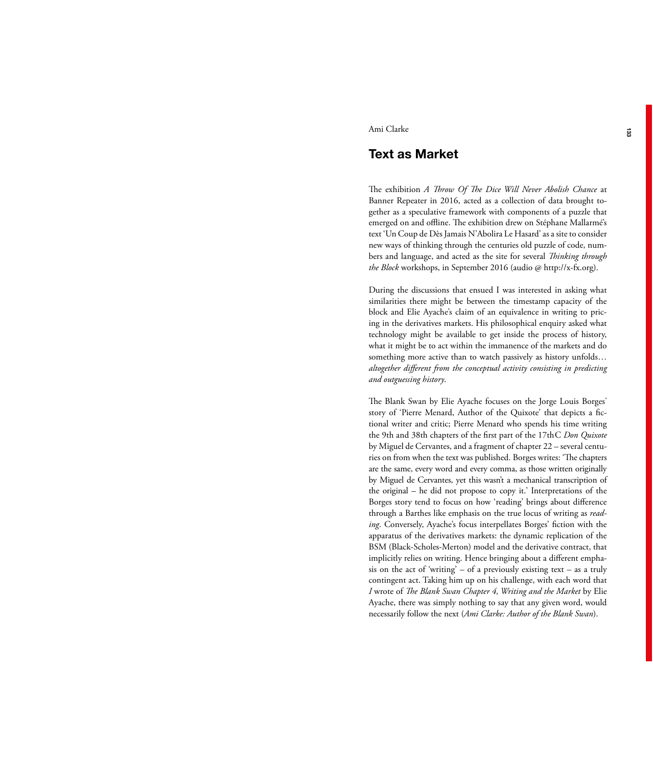Ami Clarke

## **Text as Market**

The exhibition *A Throw Of The Dice Will Never Abolish Chance* at Banner Repeater in 2016, acted as a collection of data brought together as a speculative framework with components of a puzzle that emerged on and o ffline. The exhibition drew on Stéphane Mallarmé's text 'Un Coup de Dès Jamais N'Abolira Le Hasard' as a site to consider new ways of thinking through the centuries old puzzle of code, numbers and language, and acted as the site for several *Thinking through the Block* workshops, in September 2016 (audio @ http://x-fx.org).

During the discussions that ensued I was interested in asking what similarities there might be between the timestamp capacity of the block and Elie Ayache's claim of an equivalence in writing to pricing in the derivatives markets. His philosophical enquiry asked what technology might be available to get inside the process of history, what it might be to act within the immanence of the markets and do something more active than to watch passively as history unfolds… *altogether different from the conceptual activity consisting in predicting and outguessing history* .

The Blank Swan by Elie Ayache focuses on the Jorge Louis Borges ' story of 'Pierre Menard, Author of the Quixote' that depicts a fictional writer and critic; Pierre Menard who spends his time writing the 9th and 38th chapters of the first part of the 17thC *Don Quixote* by Miguel de Cervantes, and a fragment of chapter 22 – several centuries on from when the text was published. Borges writes: 'The chapters are the same, every word and every comma, as those written originally by Miguel de Cervantes, yet this wasn't a mechanical transcription of the original – he did not propose to copy it.' Interpretations of the Borges story tend to focus on how 'reading' brings about di fference through a Barthes like emphasis on the true locus of writing as *reading*. Conversely, Ayache's focus interpellates Borges' fiction with the apparatus of the derivatives markets: the dynamic replication of the BSM (Black-Scholes-Merton) model and the derivative contract, that implicitly relies on writing. Hence bringing about a di fferent emphasis on the act of 'writing' – of a previously existing text – as a truly contingent act. Taking him up on his challenge, with each word that *I* wrote of *The Blank Swan Chapter 4, Writing and the Market* by Elie Ayache, there was simply nothing to say that any given word, would necessarily follow the next (*Ami Clarke: Author of the Blank Swan*).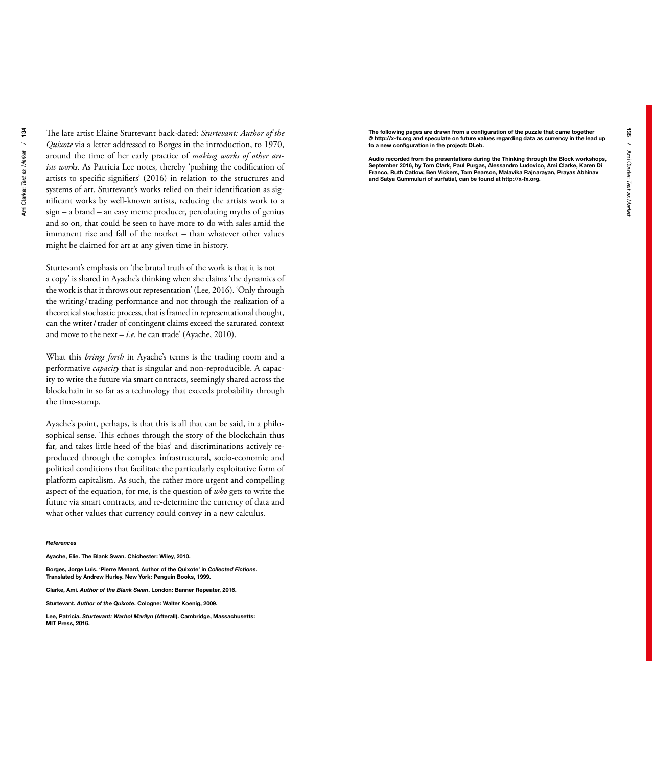The late artist Elaine Sturtevant back-dated: *Sturtevant: Author of the Quixote* via a letter addressed to Borges in the introduction, to 1970, around the time of her early practice of *making works of other artists works*. As Patricia Lee notes, thereby 'pushing the codification of artists to specific signifiers' (2016) in relation to the structures and systems of art. Sturtevant's works relied on their identification as significant works by well-known artists, reducing the artists work to a sign – a brand – an easy meme producer, percolating myths of genius and so on, that could be seen to have more to do with sales amid the immanent rise and fall of the market – than whatever other values might be claimed for art at any given time in history.

Sturtevant's emphasis on 'the brutal truth of the work is that it is not a copy' is shared in Ayache's thinking when she claims 'the dynamics of the work is that it throws out representation' (Lee, 2016). 'Only through the writing/trading performance and not through the realization of a theoretical stochastic process, that is framed in representational thought, can the writer / trader of contingent claims exceed the saturated context and move to the next  $-i.e.$  he can trade' (Ayache, 2010).

What this *brings forth* in Ayache's terms is the trading room and a performative *capacity* that is singular and non-reproducible. A capacity to write the future via smart contracts, seemingly shared across the blockchain in so far as a technology that exceeds probability through the time-stamp.

Ayache's point, perhaps, is that this is all that can be said, in a philosophical sense. This echoes through the story of the blockchain thus far, and takes little heed of the bias' and discriminations actively reproduced through the complex infrastructural, socio-economic and political conditions that facilitate the particularly exploitative form of platform capitalism. As such, the rather more urgent and compelling aspect of the equation, for me, is the question of *who* gets to write the future via smart contracts, and re-determine the currency of data and what other values that currency could convey in a new calculus.

## *References*

**Ayache, Elie. The Blank Swan. Chichester: Wiley, 2010.**

**Borges, Jorge Luis. 'Pierre Menard, Author of the Quixote' in** *Collected Fictions***. Translated by Andrew Hurley. New York: Penguin Books, 1999.**

**Clarke, Ami.** *Author of the Blank Swan***. London: Banner Repeater, 2016.**

**Sturtevant.** *Author of the Quixote***. Cologne: Walter Koenig, 2009.**

**Lee, Patricia.** *Sturtevant: Warhol Marilyn* **(Afterall). Cambridge, Massachusetts: MIT Press, 2016.**

**The following pages are drawn from a configuration of the puzzle that came together @ http://x-fx.org and speculate on future values regarding data as currency in the lead up to a new configuration in the project: DLeb.**

**Audio recorded from the presentations during the Thinking through the Block workshops, September 2016, by Tom Clark, Paul Purgas, Alessandro Ludovico, Ami Clarke, Karen Di Franco, Ruth Catlow, Ben Vickers, Tom Pearson, Malavika Rajnarayan, Prayas Abhinav and Satya Gummuluri of surfatial, can be found at http://x-fx.org.**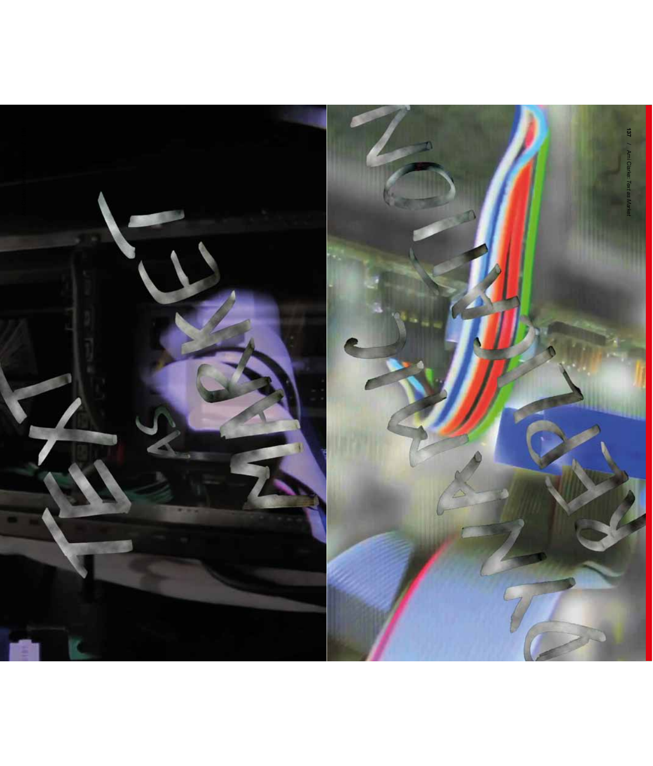